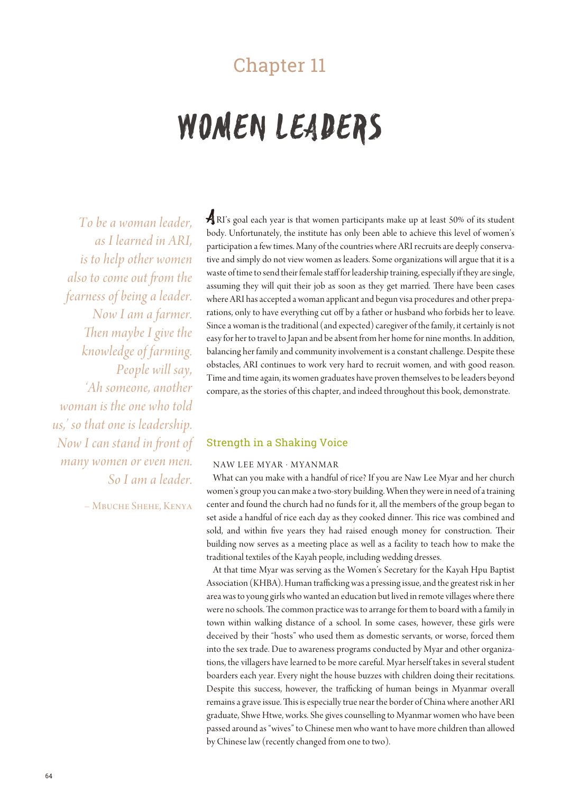# Chapter 11

# WOMEN LEADERS

*To be a woman leader, as I learned in ARI, is to help other women also to come out fom the fearness of being a leader. Now I am a farmer. Then maybe I give the knowledge of farming. People will say, 'Ah someone, another woman is the one who told us,' so that one is leadership. Now I can stand in font of many women or even men. So I am a leader.*

– Mbuche Shehe, Kenya

ARI's goal each year is that women participants make up at least 50% of its student body. Unfortunately, the institute has only been able to achieve this level of women's participation a few times. Many of the countries where ARI recruits are deeply conservative and simply do not view women as leaders. Some organizations will argue that it is a waste of time to send their female staff for leadership training, especially if they are single, assuming they will quit their job as soon as they get married. There have been cases where ARI has accepted a woman applicant and begun visa procedures and other preparations, only to have everything cut off by a father or husband who forbids her to leave. Since a woman is the traditional (and expected) caregiver of the family, it certainly is not easy for her to travel to Japan and be absent from her home for nine months. In addition, balancing her family and community involvement is a constant challenge. Despite these obstacles, ARI continues to work very hard to recruit women, and with good reason. Time and time again, its women graduates have proven themselves to be leaders beyond compare, as the stories of this chapter, and indeed throughout this book, demonstrate.

## Strength in a Shaking Voice

#### NAW LEE MYAR · MYANMAR

What can you make with a handful of rice? If you are Naw Lee Myar and her church women's group you can make a two-story building. When they were in need of a training center and found the church had no funds for it, all the members of the group began to set aside a handful of rice each day as they cooked dinner. This rice was combined and sold, and within five years they had raised enough money for construction. Their building now serves as a meeting place as well as a facility to teach how to make the traditional textiles of the Kayah people, including wedding dresses.

At that time Myar was serving as the Women's Secretary for the Kayah Hpu Baptist Association (KHBA). Human trafficking was a pressing issue, and the greatest risk in her area was to young girls who wanted an education but lived in remote villages where there were no schools. The common practice was to arrange for them to board with a family in town within walking distance of a school. In some cases, however, these girls were deceived by their "hosts" who used them as domestic servants, or worse, forced them into the sex trade. Due to awareness programs conducted by Myar and other organizations, the villagers have learned to be more careful. Myar herself takes in several student boarders each year. Every night the house buzzes with children doing their recitations. Despite this success, however, the trafficking of human beings in Myanmar overall remains a grave issue. This is especially true near the border of China where another ARI graduate, Shwe Htwe, works. She gives counselling to Myanmar women who have been passed around as "wives" to Chinese men who want to have more children than allowed by Chinese law (recently changed from one to two).